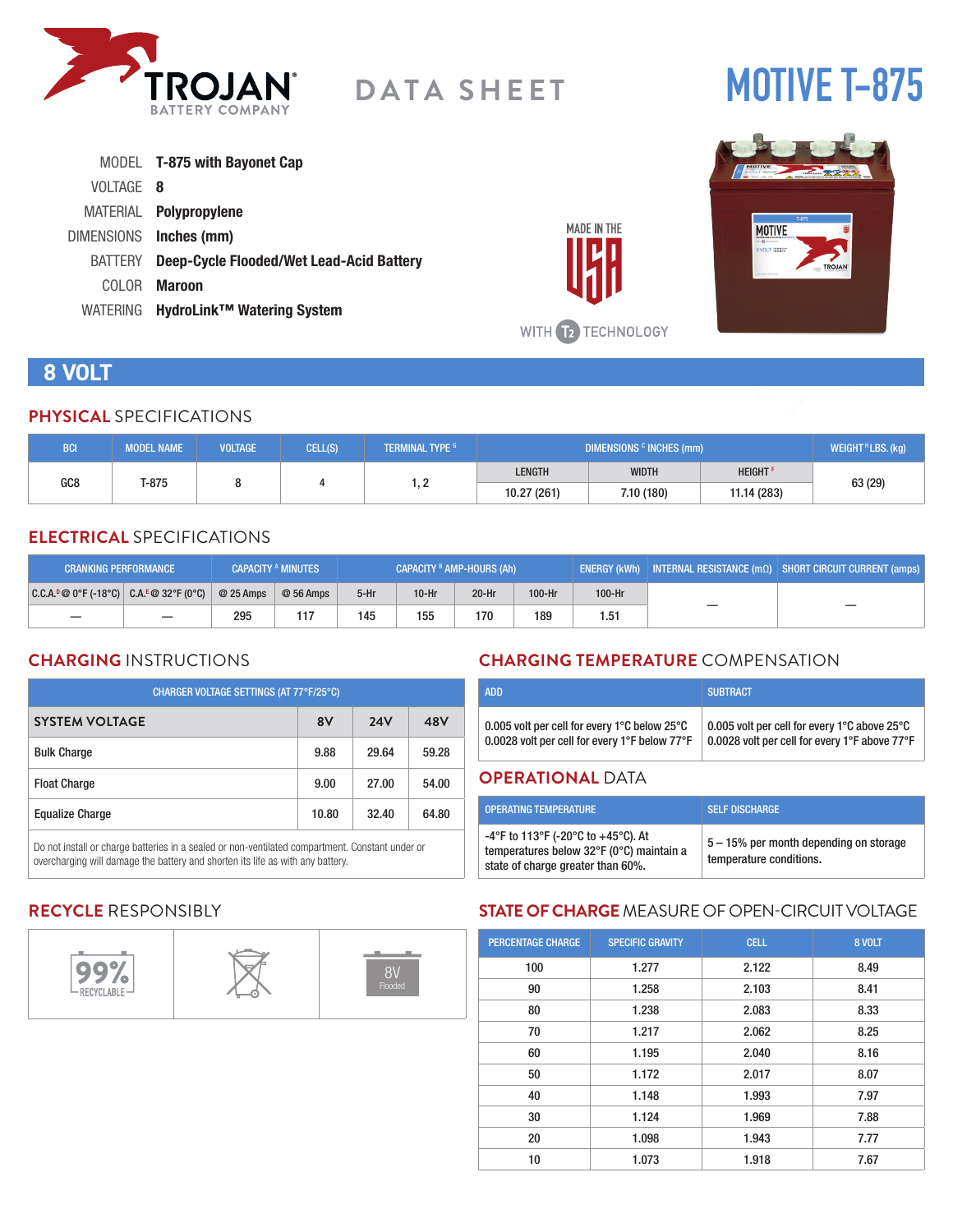

# **DATA SHEET**

# **MOTIVE T-875**

|                | MODEL <b>T-875 with Bayonet Cap</b>      |
|----------------|------------------------------------------|
| VOLTAGE 8      |                                          |
|                | MATERIAL <b>Polypropylene</b>            |
|                | DIMENSIONS Inches (mm)                   |
| <b>BATTERY</b> | Deep-Cycle Flooded/Wet Lead-Acid Battery |
| COLOR.         | Maroon                                   |
| WATERING       | HydroLink <sup>™</sup> Watering System   |



# **8 VOLT**

#### **PHYSICAL** SPECIFICATIONS

| <b>BCI.</b>     | <b>MODEL NAME</b> | <b>VOLTAGE</b> | CELL(S) | <b>NTERMINAL TYPE 6</b> | DIMENSIONS <sup>c</sup> INCHES (mm) |              |                            | WEIGHT <sup>H</sup> LBS. (kg) |             |
|-----------------|-------------------|----------------|---------|-------------------------|-------------------------------------|--------------|----------------------------|-------------------------------|-------------|
|                 | T-875             |                |         | $\sim$<br>ے ، ا         | <b>LENGTH</b>                       | <b>WIDTH</b> | <b>HEIGHT</b> <sup>F</sup> |                               |             |
| GC <sub>8</sub> |                   |                |         |                         |                                     |              | 10.27 (261)                | 7.10 (180)                    | 11.14 (283) |

### **ELECTRICAL** SPECIFICATIONS

| <b>CAPACITY A MINUTES</b><br><b>CRANKING PERFORMANCE</b> |  |            | CAPACITY <sup>B</sup> AMP-HOURS (Ah) |        |         | ENERGY (kWh) INTERNAL RESISTANCE $\overline{(m\Omega)}$ SHORT CIRCUIT CURRENT (amps) |        |        |  |
|----------------------------------------------------------|--|------------|--------------------------------------|--------|---------|--------------------------------------------------------------------------------------|--------|--------|--|
| $ C.C.A.^p@0^cF(-18^cC)  C.A.^E@32^cF(0^cC) $            |  | $@25$ Amps | $@56$ Amps                           | $5-Hr$ | $10-Hr$ | $20-Hr$                                                                              | 100-Hr | 100-Hr |  |
|                                                          |  | 295        |                                      | 145    | 155     | 170                                                                                  | 189    | 1.51   |  |

### **CHARGING** INSTRUCTIONS

| CHARGER VOLTAGE SETTINGS (AT 77°F/25°C) |            |       |  |  |  |  |
|-----------------------------------------|------------|-------|--|--|--|--|
| 8V                                      | <b>24V</b> | 48V   |  |  |  |  |
| 9.88                                    | 29.64      | 59.28 |  |  |  |  |
| 9.00                                    | 27.00      | 54.00 |  |  |  |  |
| 10.80                                   | 32.40      | 64.80 |  |  |  |  |
|                                         |            |       |  |  |  |  |

Do not install or charge batteries in a sealed or non-ventilated compartment. Constant under or overcharging will damage the battery and shorten its life as with any battery.

### **CHARGING TEMPERATURE** COMPENSATION

| <b>ADD</b>                                    | <b>SUBTRACT</b>                               |
|-----------------------------------------------|-----------------------------------------------|
| 0.005 volt per cell for every 1°C below 25°C  | 0.005 volt per cell for every 1°C above 25°C  |
| 0.0028 volt per cell for every 1°F below 77°F | 0.0028 volt per cell for every 1°F above 77°F |

#### **OPERATIONAL** DATA

**MADE IN THE** 

WITH 12 TECHNOLOGY

| <b>OPERATING TEMPERATURE</b>                                                                                        | <b>SELF DISCHARGE</b>                                             |
|---------------------------------------------------------------------------------------------------------------------|-------------------------------------------------------------------|
| -4°F to 113°F (-20°C to +45°C). At<br>temperatures below 32°F (0°C) maintain a<br>state of charge greater than 60%. | 5 – 15% per month depending on storage<br>temperature conditions. |

### **RECYCLE** RESPONSIBLY



## **STATE OF CHARGE** MEASURE OF OPEN-CIRCUIT VOLTAGE

| <b>PERCENTAGE CHARGE</b> | <b>SPECIFIC GRAVITY</b> | <b>CELL</b> | 8 VOLT |
|--------------------------|-------------------------|-------------|--------|
| 100                      | 1.277                   | 2.122       | 8.49   |
| 90                       | 1.258                   | 2.103       | 8.41   |
| 80                       | 1.238                   | 2.083       | 8.33   |
| 70                       | 1.217                   | 2.062       | 8.25   |
| 60                       | 1.195                   | 2.040       | 8.16   |
| 50                       | 1.172                   | 2.017       | 8.07   |
| 40                       | 1.148                   | 1.993       | 7.97   |
| 30                       | 1.124                   | 1.969       | 7.88   |
| 20                       | 1.098                   | 1.943       | 7.77   |
| 10                       | 1.073                   | 1.918       | 7.67   |